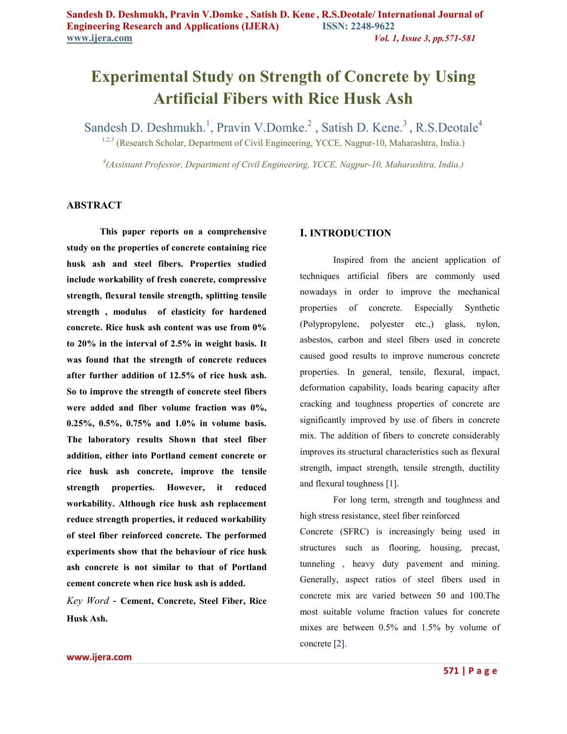# **Experimental Study on Strength of Concrete by Using Artificial Fibers with Rice Husk Ash**

Sandesh D. Deshmukh.<sup>1</sup>, Pravin V.Domke.<sup>2</sup>, Satish D. Kene.<sup>3</sup>, R.S.Deotale<sup>4</sup>

<sup>1,2,3</sup> (Research Scholar, Department of Civil Engineering, YCCE, Nagpur-10, Maharashtra, India.)

*4 (Assistant Professor, Department of Civil Engineering, YCCE, Nagpur-10, Maharashtra, India.)* 

## **ABSTRACT**

**This paper reports on a comprehensive study on the properties of concrete containing rice husk ash and steel fibers. Properties studied include workability of fresh concrete, compressive strength, flexural tensile strength, splitting tensile strength , modulus of elasticity for hardened concrete. Rice husk ash content was use from 0% to 20% in the interval of 2.5% in weight basis. It was found that the strength of concrete reduces after further addition of 12.5% of rice husk ash. So to improve the strength of concrete steel fibers were added and fiber volume fraction was 0%, 0.25%, 0.5%, 0.75% and 1.0% in volume basis. The laboratory results Shown that steel fiber addition, either into Portland cement concrete or rice husk ash concrete, improve the tensile strength properties. However, it reduced workability. Although rice husk ash replacement reduce strength properties, it reduced workability of steel fiber reinforced concrete. The performed experiments show that the behaviour of rice husk ash concrete is not similar to that of Portland cement concrete when rice husk ash is added.** 

*Key Word* - **Cement, Concrete, Steel Fiber, Rice Husk Ash.** 

## **I. INTRODUCTION**

Inspired from the ancient application of techniques artificial fibers are commonly used nowadays in order to improve the mechanical properties of concrete. Especially Synthetic (Polypropylene, polyester etc.,) glass, nylon, asbestos, carbon and steel fibers used in concrete caused good results to improve numerous concrete properties. In general, tensile, flexural, impact, deformation capability, loads bearing capacity after cracking and toughness properties of concrete are significantly improved by use of fibers in concrete mix. The addition of fibers to concrete considerably improves its structural characteristics such as flexural strength, impact strength, tensile strength, ductility and flexural toughness [1].

For long term, strength and toughness and high stress resistance, steel fiber reinforced

Concrete (SFRC) is increasingly being used in structures such as flooring, housing, precast, tunneling , heavy duty pavement and mining. Generally, aspect ratios of steel fibers used in concrete mix are varied between 50 and 100.The most suitable volume fraction values for concrete mixes are between 0.5% and 1.5% by volume of concrete [2].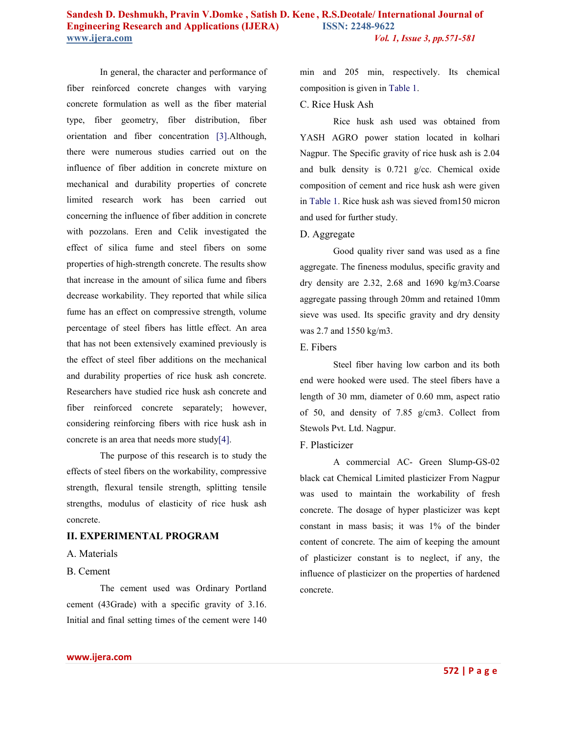In general, the character and performance of fiber reinforced concrete changes with varying concrete formulation as well as the fiber material type, fiber geometry, fiber distribution, fiber orientation and fiber concentration [3].Although, there were numerous studies carried out on the influence of fiber addition in concrete mixture on mechanical and durability properties of concrete limited research work has been carried out concerning the influence of fiber addition in concrete with pozzolans. Eren and Celik investigated the effect of silica fume and steel fibers on some properties of high-strength concrete. The results show that increase in the amount of silica fume and fibers decrease workability. They reported that while silica fume has an effect on compressive strength, volume percentage of steel fibers has little effect. An area that has not been extensively examined previously is the effect of steel fiber additions on the mechanical and durability properties of rice husk ash concrete. Researchers have studied rice husk ash concrete and fiber reinforced concrete separately; however, considering reinforcing fibers with rice husk ash in concrete is an area that needs more study[4].

The purpose of this research is to study the effects of steel fibers on the workability, compressive strength, flexural tensile strength, splitting tensile strengths, modulus of elasticity of rice husk ash concrete.

#### **II. EXPERIMENTAL PROGRAM**

#### A. Materials

## B. Cement

The cement used was Ordinary Portland cement (43Grade) with a specific gravity of 3.16. Initial and final setting times of the cement were 140 min and 205 min, respectively. Its chemical composition is given in Table 1.

## C. Rice Husk Ash

Rice husk ash used was obtained from YASH AGRO power station located in kolhari Nagpur. The Specific gravity of rice husk ash is 2.04 and bulk density is 0.721 g/cc. Chemical oxide composition of cement and rice husk ash were given in Table 1. Rice husk ash was sieved from150 micron and used for further study.

### D. Aggregate

Good quality river sand was used as a fine aggregate. The fineness modulus, specific gravity and dry density are 2.32, 2.68 and 1690 kg/m3.Coarse aggregate passing through 20mm and retained 10mm sieve was used. Its specific gravity and dry density was 2.7 and 1550 kg/m3.

#### E. Fibers

Steel fiber having low carbon and its both end were hooked were used. The steel fibers have a length of 30 mm, diameter of 0.60 mm, aspect ratio of 50, and density of 7.85 g/cm3. Collect from Stewols Pvt. Ltd. Nagpur.

#### F. Plasticizer

A commercial AC- Green Slump-GS-02 black cat Chemical Limited plasticizer From Nagpur was used to maintain the workability of fresh concrete. The dosage of hyper plasticizer was kept constant in mass basis; it was 1% of the binder content of concrete. The aim of keeping the amount of plasticizer constant is to neglect, if any, the influence of plasticizer on the properties of hardened concrete.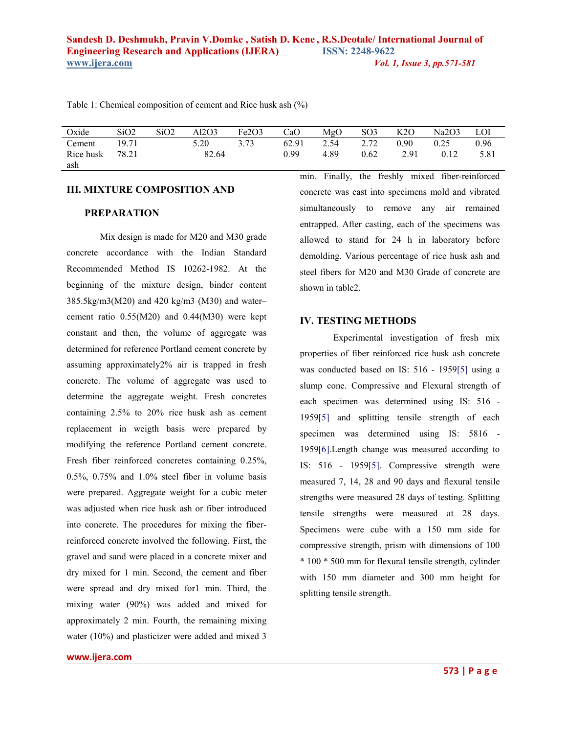| Oxide            | SiO2  | SiO2 | Al2O3 | Fe <sub>2</sub> O <sub>3</sub> | CaO   | MgO  | SO <sub>3</sub> | K2O  | Na2O3 | LOI  |
|------------------|-------|------|-------|--------------------------------|-------|------|-----------------|------|-------|------|
| Cement           | 19.71 |      | 5.20  |                                | 62.91 | 2.54 | 2.72            | 0.90 | 0.25  | 0.96 |
| Rice husk<br>ash | 78.21 |      | 82.64 |                                | 0.99  | 4.89 | 0.62            | 2.91 | 0.12  | 5.81 |

Table 1: Chemical composition of cement and Rice husk ash (%)

#### **III. MIXTURE COMPOSITION AND**

## **PREPARATION**

Mix design is made for M20 and M30 grade concrete accordance with the Indian Standard Recommended Method IS 10262-1982. At the beginning of the mixture design, binder content 385.5kg/m3(M20) and 420 kg/m3 (M30) and water– cement ratio 0.55(M20) and 0.44(M30) were kept constant and then, the volume of aggregate was determined for reference Portland cement concrete by assuming approximately2% air is trapped in fresh concrete. The volume of aggregate was used to determine the aggregate weight. Fresh concretes containing 2.5% to 20% rice husk ash as cement replacement in weigth basis were prepared by modifying the reference Portland cement concrete. Fresh fiber reinforced concretes containing 0.25%,  $0.5\%$ ,  $0.75\%$  and  $1.0\%$  steel fiber in volume basis were prepared. Aggregate weight for a cubic meter was adjusted when rice husk ash or fiber introduced into concrete. The procedures for mixing the fiberreinforced concrete involved the following. First, the gravel and sand were placed in a concrete mixer and dry mixed for 1 min. Second, the cement and fiber were spread and dry mixed for1 min. Third, the mixing water (90%) was added and mixed for approximately 2 min. Fourth, the remaining mixing water (10%) and plasticizer were added and mixed 3

min. Finally, the freshly mixed fiber-reinforced concrete was cast into specimens mold and vibrated simultaneously to remove any air remained entrapped. After casting, each of the specimens was allowed to stand for 24 h in laboratory before demolding. Various percentage of rice husk ash and steel fibers for M20 and M30 Grade of concrete are shown in table2.

## **IV. TESTING METHODS**

Experimental investigation of fresh mix properties of fiber reinforced rice husk ash concrete was conducted based on IS: 516 - 1959[5] using a slump cone. Compressive and Flexural strength of each specimen was determined using IS: 516 - 1959[5] and splitting tensile strength of each specimen was determined using IS: 5816 - 1959[6].Length change was measured according to IS: 516 - 1959[5]. Compressive strength were measured 7, 14, 28 and 90 days and flexural tensile strengths were measured 28 days of testing. Splitting tensile strengths were measured at 28 days. Specimens were cube with a 150 mm side for compressive strength, prism with dimensions of 100 \* 100 \* 500 mm for flexural tensile strength, cylinder with 150 mm diameter and 300 mm height for splitting tensile strength.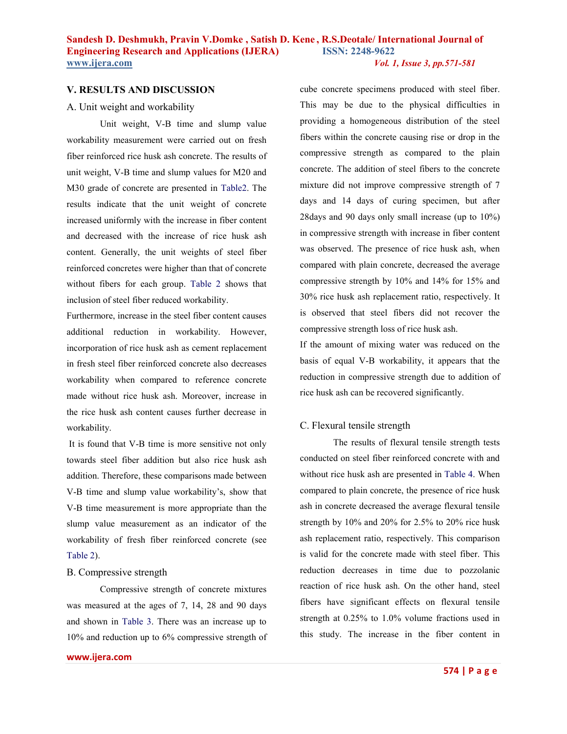## **V. RESULTS AND DISCUSSION**

#### A. Unit weight and workability

Unit weight, V-B time and slump value workability measurement were carried out on fresh fiber reinforced rice husk ash concrete. The results of unit weight, V-B time and slump values for M20 and M30 grade of concrete are presented in Table2. The results indicate that the unit weight of concrete increased uniformly with the increase in fiber content and decreased with the increase of rice husk ash content. Generally, the unit weights of steel fiber reinforced concretes were higher than that of concrete without fibers for each group. Table 2 shows that inclusion of steel fiber reduced workability.

Furthermore, increase in the steel fiber content causes additional reduction in workability. However, incorporation of rice husk ash as cement replacement in fresh steel fiber reinforced concrete also decreases workability when compared to reference concrete made without rice husk ash. Moreover, increase in the rice husk ash content causes further decrease in workability.

 It is found that V-B time is more sensitive not only towards steel fiber addition but also rice husk ash addition. Therefore, these comparisons made between V-B time and slump value workability's, show that V-B time measurement is more appropriate than the slump value measurement as an indicator of the workability of fresh fiber reinforced concrete (see Table 2).

#### B. Compressive strength

Compressive strength of concrete mixtures was measured at the ages of 7, 14, 28 and 90 days and shown in Table 3. There was an increase up to 10% and reduction up to 6% compressive strength of

**www.ijera.com** 

cube concrete specimens produced with steel fiber. This may be due to the physical difficulties in providing a homogeneous distribution of the steel fibers within the concrete causing rise or drop in the compressive strength as compared to the plain concrete. The addition of steel fibers to the concrete mixture did not improve compressive strength of 7 days and 14 days of curing specimen, but after 28days and 90 days only small increase (up to 10%) in compressive strength with increase in fiber content was observed. The presence of rice husk ash, when compared with plain concrete, decreased the average compressive strength by 10% and 14% for 15% and 30% rice husk ash replacement ratio, respectively. It is observed that steel fibers did not recover the compressive strength loss of rice husk ash.

If the amount of mixing water was reduced on the basis of equal V-B workability, it appears that the reduction in compressive strength due to addition of rice husk ash can be recovered significantly.

#### C. Flexural tensile strength

The results of flexural tensile strength tests conducted on steel fiber reinforced concrete with and without rice husk ash are presented in Table 4. When compared to plain concrete, the presence of rice husk ash in concrete decreased the average flexural tensile strength by 10% and 20% for 2.5% to 20% rice husk ash replacement ratio, respectively. This comparison is valid for the concrete made with steel fiber. This reduction decreases in time due to pozzolanic reaction of rice husk ash. On the other hand, steel fibers have significant effects on flexural tensile strength at 0.25% to 1.0% volume fractions used in this study. The increase in the fiber content in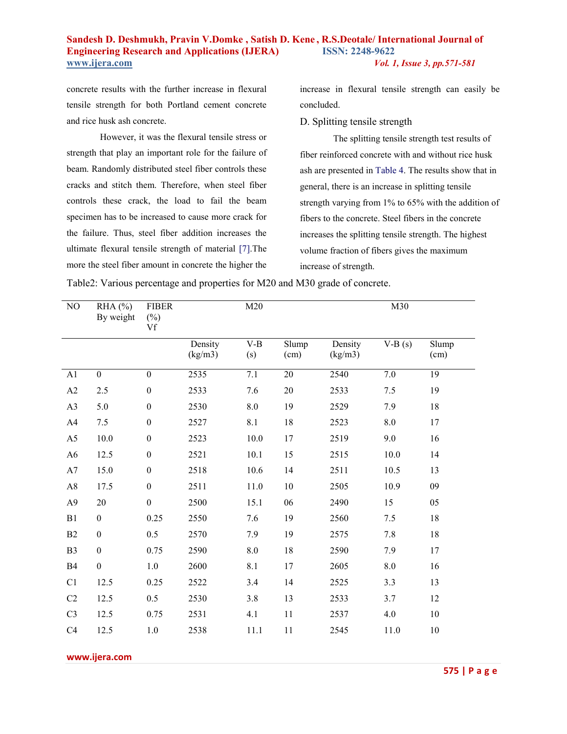concrete results with the further increase in flexural tensile strength for both Portland cement concrete and rice husk ash concrete.

However, it was the flexural tensile stress or strength that play an important role for the failure of beam. Randomly distributed steel fiber controls these cracks and stitch them. Therefore, when steel fiber controls these crack, the load to fail the beam specimen has to be increased to cause more crack for the failure. Thus, steel fiber addition increases the ultimate flexural tensile strength of material [7].The more the steel fiber amount in concrete the higher the

increase in flexural tensile strength can easily be concluded.

D. Splitting tensile strength

The splitting tensile strength test results of fiber reinforced concrete with and without rice husk ash are presented in Table 4. The results show that in general, there is an increase in splitting tensile strength varying from 1% to 65% with the addition of fibers to the concrete. Steel fibers in the concrete increases the splitting tensile strength. The highest volume fraction of fibers gives the maximum increase of strength.

| NO             | $RHA$ (%)<br>By weight | <b>FIBER</b><br>$(\%)$<br>Vf | M20                |                    | M30                               |                    |          |               |  |
|----------------|------------------------|------------------------------|--------------------|--------------------|-----------------------------------|--------------------|----------|---------------|--|
|                |                        |                              | Density<br>(kg/m3) | $V-B$<br>(s)       | $\overline{\text{Slump}}$<br>(cm) | Density<br>(kg/m3) | $V-B(s)$ | Slump<br>(cm) |  |
| A1             | $\overline{0}$         | $\boldsymbol{0}$             | 2535               | $\overline{7.1}$   | $20\,$                            | 2540               | $7.0\,$  | 19            |  |
| A2             | 2.5                    | $\boldsymbol{0}$             | 2533               | 7.6                | 20                                | 2533               | 7.5      | 19            |  |
| A3             | 5.0                    | $\boldsymbol{0}$             | 2530               | $\boldsymbol{8.0}$ | 19                                | 2529               | 7.9      | 18            |  |
| A4             | 7.5                    | $\boldsymbol{0}$             | 2527               | 8.1                | 18                                | 2523               | $8.0\,$  | 17            |  |
| A <sub>5</sub> | 10.0                   | $\boldsymbol{0}$             | 2523               | 10.0               | 17                                | 2519               | 9.0      | 16            |  |
| A <sub>6</sub> | 12.5                   | $\boldsymbol{0}$             | 2521               | 10.1               | 15                                | 2515               | 10.0     | 14            |  |
| A7             | 15.0                   | $\boldsymbol{0}$             | 2518               | 10.6               | 14                                | 2511               | 10.5     | 13            |  |
| A8             | 17.5                   | $\boldsymbol{0}$             | 2511               | $11.0$             | 10                                | 2505               | 10.9     | 09            |  |
| A <sub>9</sub> | 20                     | $\boldsymbol{0}$             | 2500               | 15.1               | 06                                | 2490               | 15       | 05            |  |
| B1             | $\boldsymbol{0}$       | 0.25                         | 2550               | 7.6                | 19                                | 2560               | 7.5      | 18            |  |
| B2             | $\boldsymbol{0}$       | 0.5                          | 2570               | 7.9                | 19                                | 2575               | 7.8      | 18            |  |
| B <sub>3</sub> | $\boldsymbol{0}$       | 0.75                         | 2590               | $\boldsymbol{8.0}$ | 18                                | 2590               | 7.9      | $17\,$        |  |
| B4             | $\boldsymbol{0}$       | 1.0                          | 2600               | 8.1                | 17                                | 2605               | $8.0\,$  | 16            |  |
| C1             | 12.5                   | 0.25                         | 2522               | 3.4                | 14                                | 2525               | 3.3      | 13            |  |
| C <sub>2</sub> | 12.5                   | 0.5                          | 2530               | 3.8                | 13                                | 2533               | 3.7      | 12            |  |
| C <sub>3</sub> | 12.5                   | 0.75                         | 2531               | 4.1                | 11                                | 2537               | 4.0      | 10            |  |
| C4             | 12.5                   | 1.0                          | 2538               | 11.1               | 11                                | 2545               | 11.0     | 10            |  |

Table2: Various percentage and properties for M20 and M30 grade of concrete.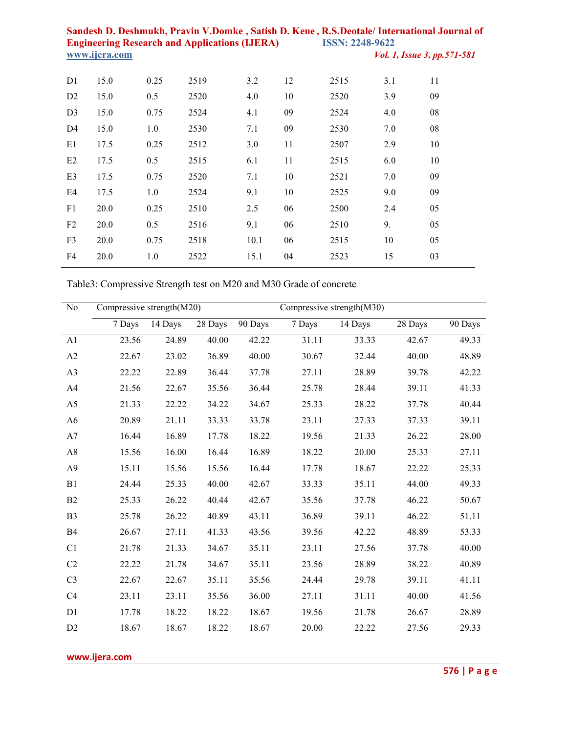| D <sub>1</sub> | 15.0 | 0.25 | 2519 | 3.2  | 12 | 2515 | 3.1 | 11 |
|----------------|------|------|------|------|----|------|-----|----|
| D2             | 15.0 | 0.5  | 2520 | 4.0  | 10 | 2520 | 3.9 | 09 |
| D <sub>3</sub> | 15.0 | 0.75 | 2524 | 4.1  | 09 | 2524 | 4.0 | 08 |
| D <sub>4</sub> | 15.0 | 1.0  | 2530 | 7.1  | 09 | 2530 | 7.0 | 08 |
| E1             | 17.5 | 0.25 | 2512 | 3.0  | 11 | 2507 | 2.9 | 10 |
| E2             | 17.5 | 0.5  | 2515 | 6.1  | 11 | 2515 | 6.0 | 10 |
| E3             | 17.5 | 0.75 | 2520 | 7.1  | 10 | 2521 | 7.0 | 09 |
| E4             | 17.5 | 1.0  | 2524 | 9.1  | 10 | 2525 | 9.0 | 09 |
| F1             | 20.0 | 0.25 | 2510 | 2.5  | 06 | 2500 | 2.4 | 05 |
| F2             | 20.0 | 0.5  | 2516 | 9.1  | 06 | 2510 | 9.  | 05 |
| F <sub>3</sub> | 20.0 | 0.75 | 2518 | 10.1 | 06 | 2515 | 10  | 05 |
| F4             | 20.0 | 1.0  | 2522 | 15.1 | 04 | 2523 | 15  | 03 |
|                |      |      |      |      |    |      |     |    |

Table3: Compressive Strength test on M20 and M30 Grade of concrete

| N <sub>o</sub> | Compressive strength(M20) |         |         |         | Compressive strength(M30) |         |         |         |
|----------------|---------------------------|---------|---------|---------|---------------------------|---------|---------|---------|
|                | 7 Days                    | 14 Days | 28 Days | 90 Days | 7 Days                    | 14 Days | 28 Days | 90 Days |
| A1             | 23.56                     | 24.89   | 40.00   | 42.22   | 31.11                     | 33.33   | 42.67   | 49.33   |
| A2             | 22.67                     | 23.02   | 36.89   | 40.00   | 30.67                     | 32.44   | 40.00   | 48.89   |
| A <sub>3</sub> | 22.22                     | 22.89   | 36.44   | 37.78   | 27.11                     | 28.89   | 39.78   | 42.22   |
| A4             | 21.56                     | 22.67   | 35.56   | 36.44   | 25.78                     | 28.44   | 39.11   | 41.33   |
| A <sub>5</sub> | 21.33                     | 22.22   | 34.22   | 34.67   | 25.33                     | 28.22   | 37.78   | 40.44   |
| A <sub>6</sub> | 20.89                     | 21.11   | 33.33   | 33.78   | 23.11                     | 27.33   | 37.33   | 39.11   |
| A7             | 16.44                     | 16.89   | 17.78   | 18.22   | 19.56                     | 21.33   | 26.22   | 28.00   |
| A8             | 15.56                     | 16.00   | 16.44   | 16.89   | 18.22                     | 20.00   | 25.33   | 27.11   |
| A <sub>9</sub> | 15.11                     | 15.56   | 15.56   | 16.44   | 17.78                     | 18.67   | 22.22   | 25.33   |
| B1             | 24.44                     | 25.33   | 40.00   | 42.67   | 33.33                     | 35.11   | 44.00   | 49.33   |
| B <sub>2</sub> | 25.33                     | 26.22   | 40.44   | 42.67   | 35.56                     | 37.78   | 46.22   | 50.67   |
| B <sub>3</sub> | 25.78                     | 26.22   | 40.89   | 43.11   | 36.89                     | 39.11   | 46.22   | 51.11   |
| <b>B4</b>      | 26.67                     | 27.11   | 41.33   | 43.56   | 39.56                     | 42.22   | 48.89   | 53.33   |
| C1             | 21.78                     | 21.33   | 34.67   | 35.11   | 23.11                     | 27.56   | 37.78   | 40.00   |
| C <sub>2</sub> | 22.22                     | 21.78   | 34.67   | 35.11   | 23.56                     | 28.89   | 38.22   | 40.89   |
| C <sub>3</sub> | 22.67                     | 22.67   | 35.11   | 35.56   | 24.44                     | 29.78   | 39.11   | 41.11   |
| C <sub>4</sub> | 23.11                     | 23.11   | 35.56   | 36.00   | 27.11                     | 31.11   | 40.00   | 41.56   |
| D1             | 17.78                     | 18.22   | 18.22   | 18.67   | 19.56                     | 21.78   | 26.67   | 28.89   |
| D2             | 18.67                     | 18.67   | 18.22   | 18.67   | 20.00                     | 22.22   | 27.56   | 29.33   |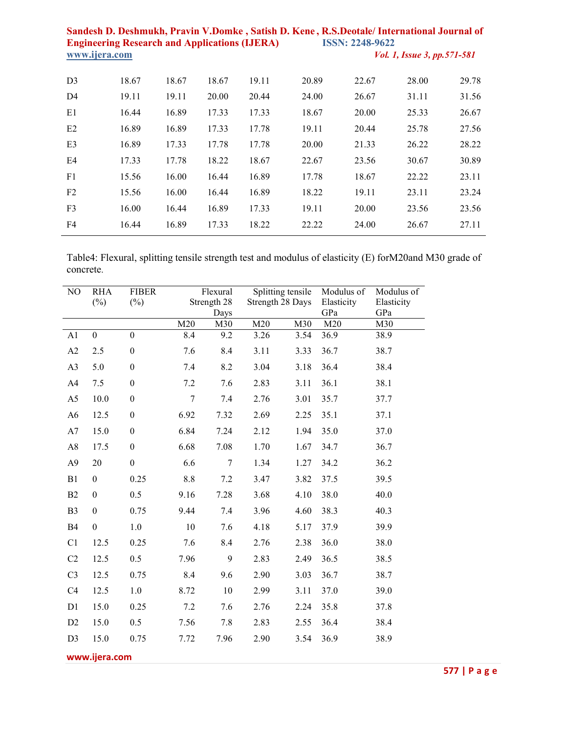| D <sub>3</sub> | 18.67 | 18.67 | 18.67 | 19.11 | 20.89 | 22.67 | 28.00 | 29.78 |
|----------------|-------|-------|-------|-------|-------|-------|-------|-------|
| D4             | 19.11 | 19.11 | 20.00 | 20.44 | 24.00 | 26.67 | 31.11 | 31.56 |
| E1             | 16.44 | 16.89 | 17.33 | 17.33 | 18.67 | 20.00 | 25.33 | 26.67 |
| E2             | 16.89 | 16.89 | 17.33 | 17.78 | 19.11 | 20.44 | 25.78 | 27.56 |
| E <sub>3</sub> | 16.89 | 17.33 | 17.78 | 17.78 | 20.00 | 21.33 | 26.22 | 28.22 |
| E4             | 17.33 | 17.78 | 18.22 | 18.67 | 22.67 | 23.56 | 30.67 | 30.89 |
| F1             | 15.56 | 16.00 | 16.44 | 16.89 | 17.78 | 18.67 | 22.22 | 23.11 |
| F <sub>2</sub> | 15.56 | 16.00 | 16.44 | 16.89 | 18.22 | 19.11 | 23.11 | 23.24 |
| F <sub>3</sub> | 16.00 | 16.44 | 16.89 | 17.33 | 19.11 | 20.00 | 23.56 | 23.56 |
| F4             | 16.44 | 16.89 | 17.33 | 18.22 | 22.22 | 24.00 | 26.67 | 27.11 |

Table4: Flexural, splitting tensile strength test and modulus of elasticity (E) forM20and M30 grade of concrete.

| NO             | <b>RHA</b>       | <b>FIBER</b>     |                | Flexural            | Splitting tensile |      | Modulus of        | Modulus of        |  |  |  |
|----------------|------------------|------------------|----------------|---------------------|-------------------|------|-------------------|-------------------|--|--|--|
|                | $(\%)$           | $(\%)$           |                | Strength 28<br>Days | Strength 28 Days  |      | Elasticity<br>GPa | Elasticity<br>GPa |  |  |  |
|                |                  |                  | M20            | M30                 | M20               | M30  | M20               | M30               |  |  |  |
| A1             | $\boldsymbol{0}$ | $\boldsymbol{0}$ | 8.4            | 9.2                 | 3.26              | 3.54 | 36.9              | 38.9              |  |  |  |
| A2             | 2.5              | $\boldsymbol{0}$ | 7.6            | 8.4                 | 3.11              | 3.33 | 36.7              | 38.7              |  |  |  |
| A <sub>3</sub> | 5.0              | $\boldsymbol{0}$ | 7.4            | 8.2                 | 3.04              | 3.18 | 36.4              | 38.4              |  |  |  |
| A4             | 7.5              | $\boldsymbol{0}$ | 7.2            | 7.6                 | 2.83              | 3.11 | 36.1              | 38.1              |  |  |  |
| A <sub>5</sub> | 10.0             | $\boldsymbol{0}$ | $\overline{7}$ | 7.4                 | 2.76              | 3.01 | 35.7              | 37.7              |  |  |  |
| A <sub>6</sub> | 12.5             | $\boldsymbol{0}$ | 6.92           | 7.32                | 2.69              | 2.25 | 35.1              | 37.1              |  |  |  |
| A7             | 15.0             | $\boldsymbol{0}$ | 6.84           | 7.24                | 2.12              | 1.94 | 35.0              | 37.0              |  |  |  |
| A8             | 17.5             | $\boldsymbol{0}$ | 6.68           | 7.08                | 1.70              | 1.67 | 34.7              | 36.7              |  |  |  |
| A <sub>9</sub> | 20               | $\boldsymbol{0}$ | 6.6            | 7                   | 1.34              | 1.27 | 34.2              | 36.2              |  |  |  |
| B1             | $\boldsymbol{0}$ | 0.25             | 8.8            | 7.2                 | 3.47              | 3.82 | 37.5              | 39.5              |  |  |  |
| B2             | $\boldsymbol{0}$ | 0.5              | 9.16           | 7.28                | 3.68              | 4.10 | 38.0              | 40.0              |  |  |  |
| B <sub>3</sub> | $\boldsymbol{0}$ | 0.75             | 9.44           | 7.4                 | 3.96              | 4.60 | 38.3              | 40.3              |  |  |  |
| <b>B4</b>      | $\boldsymbol{0}$ | $1.0\,$          | 10             | 7.6                 | 4.18              | 5.17 | 37.9              | 39.9              |  |  |  |
| C1             | 12.5             | 0.25             | 7.6            | 8.4                 | 2.76              | 2.38 | 36.0              | 38.0              |  |  |  |
| C <sub>2</sub> | 12.5             | 0.5              | 7.96           | 9                   | 2.83              | 2.49 | 36.5              | 38.5              |  |  |  |
| C <sub>3</sub> | 12.5             | 0.75             | 8.4            | 9.6                 | 2.90              | 3.03 | 36.7              | 38.7              |  |  |  |
| C4             | 12.5             | $1.0\,$          | 8.72           | 10                  | 2.99              | 3.11 | 37.0              | 39.0              |  |  |  |
| D1             | 15.0             | 0.25             | 7.2            | 7.6                 | 2.76              | 2.24 | 35.8              | 37.8              |  |  |  |
| D2             | 15.0             | 0.5              | 7.56           | 7.8                 | 2.83              | 2.55 | 36.4              | 38.4              |  |  |  |
| D <sub>3</sub> | 15.0             | 0.75             | 7.72           | 7.96                | 2.90              | 3.54 | 36.9              | 38.9              |  |  |  |
|                | www.ijera.com    |                  |                |                     |                   |      |                   |                   |  |  |  |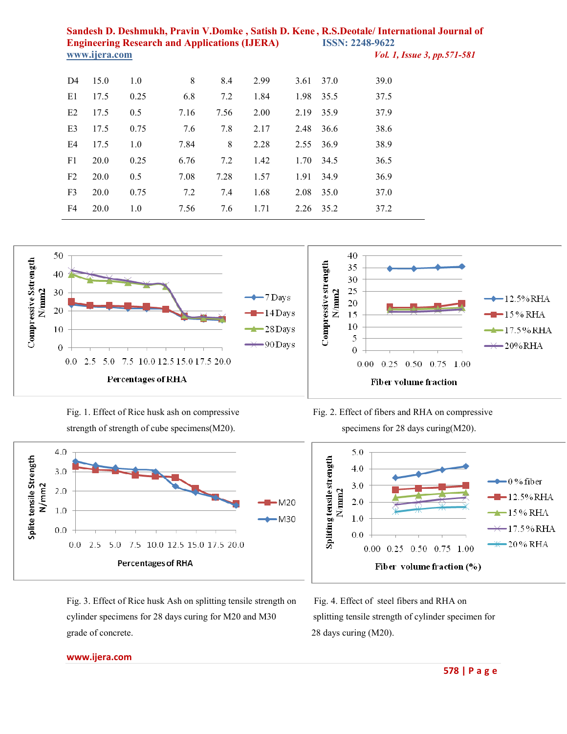| D <sub>4</sub> | 15.0 | 1.0  | 8    | 8.4  | 2.99 | 3.61 | 37.0 | 39.0 |
|----------------|------|------|------|------|------|------|------|------|
|                |      |      |      |      |      |      |      |      |
| E1             | 17.5 | 0.25 | 6.8  | 7.2  | 1.84 | 1.98 | 35.5 | 37.5 |
| E2             | 17.5 | 0.5  | 7.16 | 7.56 | 2.00 | 2.19 | 35.9 | 37.9 |
| E <sub>3</sub> | 17.5 | 0.75 | 7.6  | 7.8  | 2.17 | 2.48 | 36.6 | 38.6 |
| E4             | 17.5 | 1.0  | 7.84 | 8    | 2.28 | 2.55 | 36.9 | 38.9 |
| F1             | 20.0 | 0.25 | 6.76 | 7.2  | 1.42 | 1.70 | 34.5 | 36.5 |
| F <sub>2</sub> | 20.0 | 0.5  | 7.08 | 7.28 | 1.57 | 1.91 | 34.9 | 36.9 |
| F <sub>3</sub> | 20.0 | 0.75 | 7.2  | 7.4  | 1.68 | 2.08 | 35.0 | 37.0 |
| F4             | 20.0 | 1.0  | 7.56 | 7.6  | 1.71 | 2.26 | 35.2 | 37.2 |







Fig. 3. Effect of Rice husk Ash on splitting tensile strength on Fig. 4. Effect of steel fibers and RHA on cylinder specimens for 28 days curing for M20 and M30 splitting tensile strength of cylinder specimen for grade of concrete. 28 days curing (M20).

Fig. 1. Effect of Rice husk ash on compressive Fig. 2. Effect of fibers and RHA on compressive

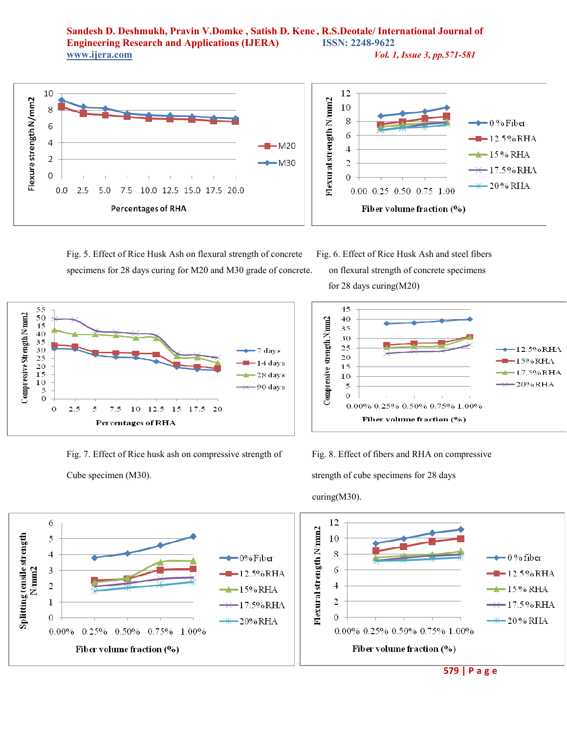**Sandesh D. Deshmukh, Pravin V.Domke , Satish D. Kene , R.S.Deotale/ International Journal of Engineering Research and Applications (IJERA) www.ijera.com** *Vol. 1, Issue 3, pp.571-581*



Fig. 5. Effect of Rice Husk Ash on flexural strength of concrete Fig. 6. Effect of Rice Husk Ash and steel fibers specimens for 28 days curing for M20 and M30 grade of concrete. on flexural strength of concrete specimens



Fig. 7. Effect of Rice husk ash on compressive strength of Fig. 8. Effect of fibers and RHA on compressive Cube specimen (M30). Strength of cube specimens for 28 days

for 28 days curing(M20)



curing(M30).



 **579 | P a g e**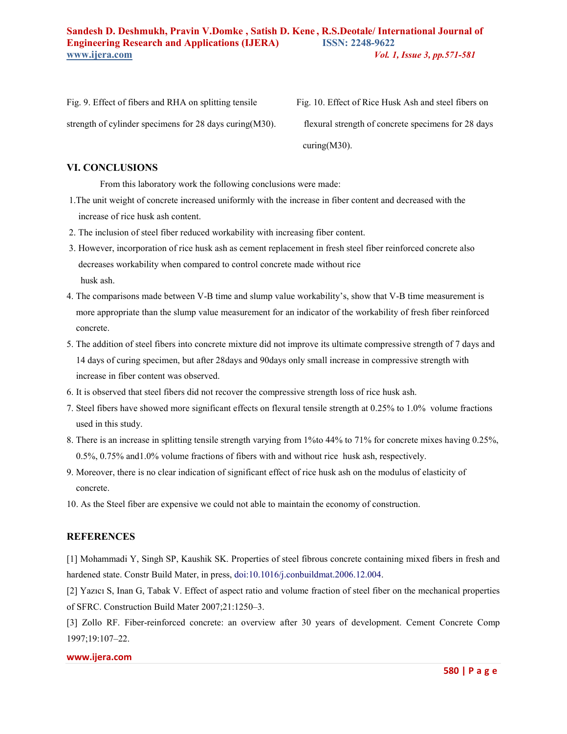strength of cylinder specimens for 28 days curing(M30). flexural strength of concrete specimens for 28 days

Fig. 9. Effect of fibers and RHA on splitting tensile Fig. 10. Effect of Rice Husk Ash and steel fibers on curing(M30).

# **VI. CONCLUSIONS**

From this laboratory work the following conclusions were made:

- 1.The unit weight of concrete increased uniformly with the increase in fiber content and decreased with the increase of rice husk ash content.
- 2. The inclusion of steel fiber reduced workability with increasing fiber content.
- 3. However, incorporation of rice husk ash as cement replacement in fresh steel fiber reinforced concrete also decreases workability when compared to control concrete made without rice husk ash.
- 4. The comparisons made between V-B time and slump value workability's, show that V-B time measurement is more appropriate than the slump value measurement for an indicator of the workability of fresh fiber reinforced concrete.
- 5. The addition of steel fibers into concrete mixture did not improve its ultimate compressive strength of 7 days and 14 days of curing specimen, but after 28days and 90days only small increase in compressive strength with increase in fiber content was observed.
- 6. It is observed that steel fibers did not recover the compressive strength loss of rice husk ash.
- 7. Steel fibers have showed more significant effects on flexural tensile strength at 0.25% to 1.0% volume fractions used in this study.
- 8. There is an increase in splitting tensile strength varying from 1%to 44% to 71% for concrete mixes having 0.25%, 0.5%, 0.75% and1.0% volume fractions of fibers with and without rice husk ash, respectively.
- 9. Moreover, there is no clear indication of significant effect of rice husk ash on the modulus of elasticity of concrete.
- 10. As the Steel fiber are expensive we could not able to maintain the economy of construction.

# **REFERENCES**

[1] Mohammadi Y, Singh SP, Kaushik SK. Properties of steel fibrous concrete containing mixed fibers in fresh and hardened state. Constr Build Mater, in press, doi:10.1016/j.conbuildmat.2006.12.004.

[2] Yazıcı S, Inan G, Tabak V. Effect of aspect ratio and volume fraction of steel fiber on the mechanical properties of SFRC. Construction Build Mater 2007;21:1250–3.

[3] Zollo RF. Fiber-reinforced concrete: an overview after 30 years of development. Cement Concrete Comp 1997;19:107–22.